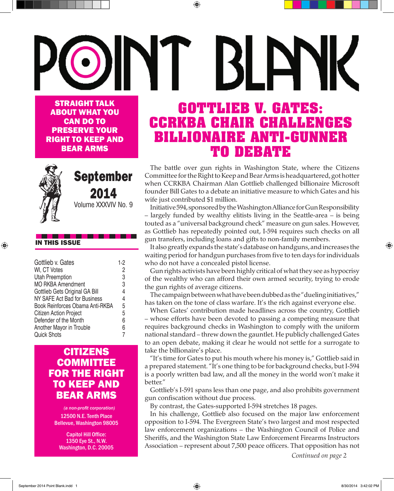## I ELYK STRAIGHT TALK **GOTTLIEB V. GATES:**  ABOUT WHAT YOU **CCRKBA CHAIR CHALLENGES**  CAN DO TO PRESERVE YOUR **BILLIONAIRE ANTI-GUNNER**  RIGHT TO KEEP AND BEAR ARMS **TO DEBATE**

⊕

The battle over gun rights in Washington State, where the Citizens Committee for the Right to Keep and Bear Arms is headquartered, got hotter when CCRKBA Chairman Alan Gottlieb challenged billionaire Microsoft founder Bill Gates to a debate an initiative measure to which Gates and his wife just contributed \$1 million.

Initiative 594, sponsored by the Washington Alliance for Gun Responsibility – largely funded by wealthy elitists living in the Seattle-area – is being touted as a "universal background check" measure on gun sales. However, as Gottlieb has repeatedly pointed out, I-594 requires such checks on all gun transfers, including loans and gifts to non-family members.

It also greatly expands the state's database on handguns, and increases the waiting period for handgun purchases from five to ten days for individuals who do not have a concealed pistol license.

Gun rights activists have been highly critical of what they see as hypocrisy of the wealthy who can afford their own armed security, trying to erode the gun rights of average citizens.

The campaign between what have been dubbed as the "dueling initiatives," has taken on the tone of class warfare. It's the rich against everyone else.

When Gates' contribution made headlines across the country, Gottlieb – whose efforts have been devoted to passing a competing measure that requires background checks in Washington to comply with the uniform national standard – threw down the gauntlet. He publicly challenged Gates to an open debate, making it clear he would not settle for a surrogate to take the billionaire's place.

"It's time for Gates to put his mouth where his money is," Gottlieb said in a prepared statement. "It's one thing to be for background checks, but I-594 is a poorly written bad law, and all the money in the world won't make it better."

Gottlieb's I-591 spans less than one page, and also prohibits government gun confiscation without due process.

By contrast, the Gates-supported I-594 stretches 18 pages.

In his challenge, Gottlieb also focused on the major law enforcement opposition to I-594. The Evergreen State's two largest and most respected law enforcement organizations – the Washington Council of Police and Sheriffs, and the Washington State Law Enforcement Firearms Instructors Association – represent about 7,500 peace officers. That opposition has not

*Continued on page 2*



## September 2014

Volume XXXVIV No. 9

#### IN THIS ISSUE

⊕

| Gottlieb v. Gates               | $1-2$          |
|---------------------------------|----------------|
| WI, CT Votes                    | 2              |
| <b>Utah Preemption</b>          | 3              |
| <b>MO RKBA Amendment</b>        | 3              |
| Gottlieb Gets Original GA Bill  | 4              |
| NY SAFE Act Bad for Business    | $\overline{4}$ |
| Book Reinforces Obama Anti-RKBA | 5              |
| Citizen Action Project          | 5              |
| Defender of the Month           | 6              |
| <b>Another Mayor in Trouble</b> | 6              |
| <b>Quick Shots</b>              |                |
|                                 |                |

## **CITIZENS COMMITTEE** FOR THE RIGHT TO KEEP AND BEAR ARMS

*(a non-profit corporation)* 12500 N.E. Tenth Place Bellevue, Washington 98005

Capitol Hill Office: 1350 Eye St., N.W. Washington, D.C. 20005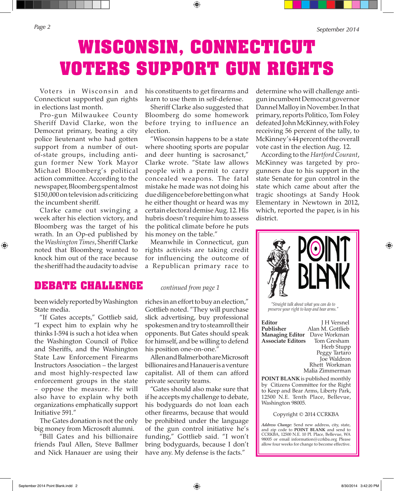⊕

*Page 2 September 2014*

## **WISCONSIN, CONNECTICUT VOTERS SUPPORT GUN RIGHTS**

⊕

Voters in Wisconsin and Connecticut supported gun rights in elections last month.

Pro-gun Milwaukee County Sheriff David Clarke, won the Democrat primary, beating a city police lieutenant who had gotten support from a number of outof-state groups, including antigun former New York Mayor Michael Bloomberg's political action committee. According to the newspaper, Bloomberg spent almost \$150,000 on television ads criticizing the incumbent sheriff.

Clarke came out swinging a week after his election victory, and Bloomberg was the target of his wrath. In an Op-ed published by the *Washington Times*, Sheriff Clarke noted that Bloomberg wanted to knock him out of the race because the sheriff had the audacity to advise

his constituents to get firearms and learn to use them in self-defense.

Sheriff Clarke also suggested that Bloomberg do some homework before trying to influence an election.

"Wisconsin happens to be a state where shooting sports are popular and deer hunting is sacrosanct," Clarke wrote. "State law allows people with a permit to carry concealed weapons. The fatal mistake he made was not doing his due diligence before betting on what he either thought or heard was my certain electoral demise Aug. 12. His hubris doesn't require him to assess the political climate before he puts his money on the table."

Meanwhile in Connecticut, gun rights activists are taking credit for influencing the outcome of a Republican primary race to

#### **DEBATE CHALLENGE** *continued from page 1*

been widely reported by Washington State media.

"If Gates accepts," Gottlieb said, "I expect him to explain why he thinks I-594 is such a hot idea when the Washington Council of Police and Sheriffs, and the Washington State Law Enforcement Firearms Instructors Association – the largest and most highly-respected law enforcement groups in the state – oppose the measure. He will also have to explain why both organizations emphatically support Initiative 591."

The Gates donation is not the only big money from Microsoft alumni.

"Bill Gates and his billionaire friends Paul Allen, Steve Ballmer and Nick Hanauer are using their

riches in an effort to buy an election," Gottlieb noted. "They will purchase slick advertising, buy professional spokesmen and try to steamroll their opponents. But Gates should speak for himself, and be willing to defend his position one-on-one."

Allen and Balmer both are Microsoft billionaires and Hanauer is a venture capitalist. All of them can afford private security teams.

"Gates should also make sure that if he accepts my challenge to debate, his bodyguards do not loan each other firearms, because that would be prohibited under the language of the gun control initiative he's funding," Gottlieb said. "I won't bring bodyguards, because I don't have any. My defense is the facts."

determine who will challenge antigun incumbent Democrat governor Dannel Malloy in November. In that primary, reports Politico, Tom Foley defeated John McKinney, with Foley receiving 56 percent of the tally, to McKinney's 44 percent of the overall vote cast in the election Aug. 12.

According to the *Hartford Courant*, McKinney was targeted by progunners due to his support in the state Senate for gun control in the state which came about after the tragic shootings at Sandy Hook Elementary in Newtown in 2012, which, reported the paper, is in his district.

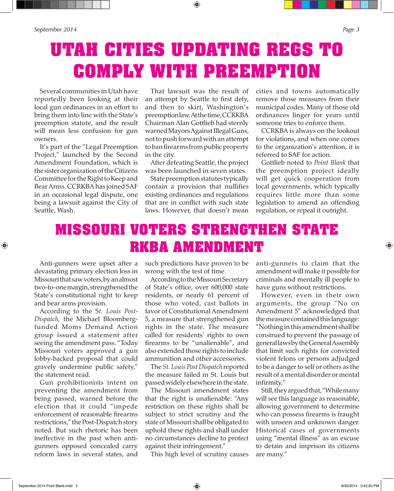⊕

Several communities in Utah have reportedly been looking at their local gun ordinances in an effort to bring them into line with the State's preemption statute, and the result will mean less confusion for gun owners.

It's part of the "Legal Preemption Project," launched by the Second Amendment Foundation, which is the sister organization of the Citizens Committee for the Right to Keep and Bear Arms. CCRKBA has joined SAF in an occasional legal dispute, one being a lawsuit against the City of Seattle, Wash.

That lawsuit was the result of an attempt by Seattle to first defy, and then to skirt, Washington's preemption law. At the time, CCRKBA Chairman Alan Gottlieb had sternly warned Mayors Against Illegal Guns, not to push forward with an attempt to ban firearms from public property in the city.

After defeating Seattle, the project was been launched in seven states.

State preemption statutes typically contain a provision that nullifies existing ordinances and regulations that are in conflict with such state laws. However, that doesn't mean cities and towns automatically remove those measures from their municipal codes. Many of those old ordinances linger for years until someone tries to enforce them.

CCRKBA is always on the lookout for violations, and when one comes to the organization's attention, it is referred to SAF for action.

Gottlieb noted to *Point Blank* that the preemption project ideally will get quick cooperation from local governments, which typically requires little more than some legislation to amend an offending regulation, or repeal it outright.

## **MISSOURI VOTERS STRENGTHEN STATE RKBA AMENDMENT**

Anti-gunners were upset after a devastating primary election loss in Missouri that saw voters, by an almost two-to-one margin, strengthened the State's constitutional right to keep and bear arms provision.

 $\textcircled{\scriptsize{+}}$ 

According to the S*t. Louis Post-Dispatch,* the Michael Bloombergfunded Moms Demand Action group issued a statement after seeing the amendment pass. "Today Missouri voters approved a gun lobby-backed proposal that could gravely undermine public safety," the statement read.

Gun prohibitionists intent on preventing the amendment from being passed, warned before the election that it could "impede enforcement of reasonable firearms restrictions," the Post-Dispatch story noted. But such rhetoric has been ineffective in the past when antigunners opposed concealed carry reform laws in several states, and

such predictions have proven to be wrong with the test of time.

According to the Missouri Secretary of State's office, over 600,000 state residents, or nearly 61 percent of those who voted, cast ballots in favor of Constitutional Amendment 5, a measure that strengthened gun rights in the state. The measure called for residents' rights to own firearms to be "unalienable", and also extended those rights to include ammunition and other accessories.

The *St. Louis Post Dispatch* reported the measure failed in St. Louis but passed widely elsewhere in the state.

The Missouri amendment states that the right is unalienable: "Any restriction on these rights shall be subject to strict scrutiny and the state of Missouri shall be obligated to uphold these rights and shall under no circumstances decline to protect against their infringement."

This high level of scrutiny causes

anti-gunners to claim that the amendment will make it possible for criminals and mentally ill people to have guns without restrictions.

However, even in their own arguments, the group "No on Amendment 5" acknowledged that the measure contained this language: "Nothing in this amendment shall be construed to prevent the passage of general laws by the General Assembly that limit such rights for convicted violent felons or persons adjudged to be a danger to self or others as the result of a mental disorder or mental infirmity."

Still, they argued that, "While many will see this language as reasonable, allowing government to determine who can possess firearms is fraught with unseen and unknown danger. Historical cases of governments using "mental illness" as an excuse to detain and imprison its citizens are many."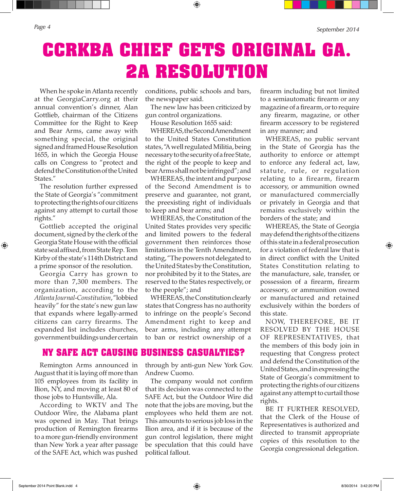*Page 4 September 2014*

⊕

**CCRKBA CHIEF GETS ORIGINAL GA. 2A RESOLUTION**

⊕

When he spoke in Atlanta recently at the GeorgiaCarry.org at their annual convention's dinner, Alan Gottlieb, chairman of the Citizens Committee for the Right to Keep and Bear Arms, came away with something special, the original signed and framed House Resolution 1655, in which the Georgia House calls on Congress to "protect and defend the Constitution of the United States."

The resolution further expressed the State of Georgia's "commitment to protecting the rights of our citizens against any attempt to curtail those rights."

Gottlieb accepted the original document, signed by the clerk of the Georgia State House with the official state seal affixed, from State Rep. Tom Kirby of the state's 114th District and a prime sponsor of the resolution.

Georgia Carry has grown to more than 7,300 members. The organization, according to the *Atlanta Journal-Constitution*, "lobbied heavily" for the state's new gun law that expands where legally-armed citizens can carry firearms. The expanded list includes churches, government buildings under certain

Remington Arms announced in August that it is laying off more than 105 employees from its facility in Ilion, NY, and moving at least 80 of those jobs to Huntsville, Ala.

According to WKTV and The Outdoor Wire, the Alabama plant was opened in May. That brings production of Remington firearms to a more gun-friendly environment than New York a year after passage of the SAFE Act, which was pushed

conditions, public schools and bars, the newspaper said.

The new law has been criticized by gun control organizations.

House Resolution 1655 said:

WHEREAS, the Second Amendment to the United States Constitution states, "A well regulated Militia, being necessary to the security of a free State, the right of the people to keep and bear Arms shall not be infringed"; and

WHEREAS, the intent and purpose of the Second Amendment is to preserve and guarantee, not grant, the preexisting right of individuals to keep and bear arms; and

WHEREAS, the Constitution of the United States provides very specific and limited powers to the federal government then reinforces those limitations in the Tenth Amendment, stating, "The powers not delegated to the United States by the Constitution, nor prohibited by it to the States, are reserved to the States respectively, or to the people"; and

WHEREAS, the Constitution clearly states that Congress has no authority to infringe on the people's Second Amendment right to keep and bear arms, including any attempt to ban or restrict ownership of a

**NY SAFE ACT CAUSING BUSINESS CASUALTIES?**

through by anti-gun New York Gov. Andrew Cuomo.

The company would not confirm that its decision was connected to the SAFE Act, but the Outdoor Wire did note that the jobs are moving, but the employees who held them are not. This amounts to serious job loss in the Ilion area, and if it is because of the gun control legislation, there might be speculation that this could have political fallout.

firearm including but not limited to a semiautomatic firearm or any magazine of a firearm, or to require any firearm, magazine, or other firearm accessory to be registered in any manner; and

WHEREAS, no public servant in the State of Georgia has the authority to enforce or attempt to enforce any federal act, law, statute, rule, or regulation relating to a firearm, firearm accessory, or ammunition owned or manufactured commercially or privately in Georgia and that remains exclusively within the borders of the state; and

WHEREAS, the State of Georgia may defend the rights of the citizens of this state in a federal prosecution for a violation of federal law that is in direct conflict with the United States Constitution relating to the manufacture, sale, transfer, or possession of a firearm, firearm accessory, or ammunition owned or manufactured and retained exclusively within the borders of this state.

NOW, THEREFORE, BE IT RESOLVED BY THE HOUSE OF REPRESENTATIVES, that the members of this body join in requesting that Congress protect and defend the Constitution of the United States, and in expressing the State of Georgia's commitment to protecting the rights of our citizens against any attempt to curtail those rights.

BE IT FURTHER RESOLVED, that the Clerk of the House of Representatives is authorized and directed to transmit appropriate copies of this resolution to the Georgia congressional delegation.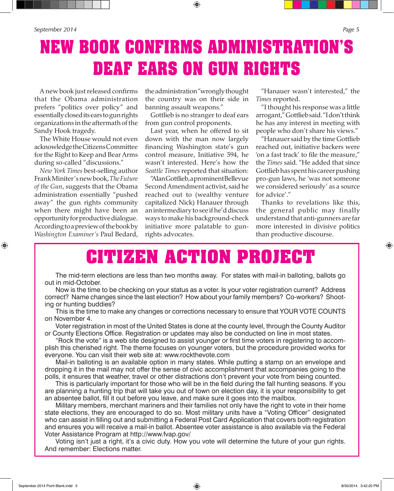## **NEW BOOK CONFIRMS ADMINISTRATION'S DEAF EARS ON GUN RIGHTS**

A new book just released confirms that the Obama administration prefers "politics over policy" and essentially closed its ears to gun rights organizations in the aftermath of the Sandy Hook tragedy.

The White House would not even acknowledge the Citizens Committee for the Right to Keep and Bear Arms during so-called "discussions."

*New York Times* best-selling author Frank Miniter's new book, *The Future of the Gun*, suggests that the Obama administration essentially "pushed away" the gun rights community when there might have been an opportunity for productive dialogue. According to a preview of the book by *Washington Examiner's* Paul Bedard,

⊕

the administration "wrongly thought the country was on their side in banning assault weapons."

Gottlieb is no stranger to deaf ears from gun control proponents.

Last year, when he offered to sit down with the man now largely financing Washington state's gun control measure, Initiative 594, he wasn't interested. Here's how the *Seattle Times* reported that situation:

"Alan Gottlieb, a prominent Bellevue Second Amendment activist, said he reached out to (wealthy venture capitalized Nick) Hanauer through an intermediary to see if he'd discuss ways to make his background-check initiative more palatable to gunrights advocates.

"Hanauer wasn't interested," the *Times* reported.

"I thought his response was a little arrogant," Gottlieb said. "I don't think he has any interest in meeting with people who don't share his views."

"Hanauer said by the time Gottlieb reached out, initiative backers were 'on a fast track' to file the measure," the *Times* said. "He added that since Gottlieb has spent his career pushing pro-gun laws, he 'was not someone we considered seriously' as a source for advice'."

Thanks to revelations like this, the general public may finally understand that anti-gunners are far more interested in divisive politics than productive discourse.

## **CITIZEN ACTION PROJECT**

The mid-term elections are less than two months away. For states with mail-in balloting, ballots go out in mid-October.

Now is the time to be checking on your status as a voter. Is your voter registration current? Address correct? Name changes since the last election? How about your family members? Co-workers? Shooting or hunting buddies?

This is the time to make any changes or corrections necessary to ensure that YOUR VOTE COUNTS on November 4.

Voter registration in most of the United States is done at the county level, through the County Auditor or County Elections Office. Registration or updates may also be conducted on line in most states.

"Rock the vote" is a web site designed to assist younger or first time voters in registering to accomplish this cherished right. The theme focuses on younger voters, but the procedure provided works for everyone. You can visit their web site at: www.rockthevote.com

Mail-in balloting is an available option in many states. While putting a stamp on an envelope and dropping it in the mail may not offer the sense of civic accomplishment that accompanies going to the polls, it ensures that weather, travel or other distractions don't prevent your vote from being counted.

This is particularly important for those who will be in the field during the fall hunting seasons. If you are planning a hunting trip that will take you out of town on election day, it is your responsibility to get an absentee ballot, fill it out before you leave, and make sure it goes into the mailbox.

Military members, merchant mariners and their families not only have the right to vote in their home state elections, they are encouraged to do so. Most military units have a "Voting Officer" designated who can assist in filling out and submitting a Federal Post Card Application that covers both registration and ensures you will receive a mail-in ballot. Absentee voter assistance is also available via the Federal Voter Assistance Program at http://www.fvap.gov/

Voting isn't just a right, it's a civic duty. How you vote will determine the future of your gun rights. And remember: Elections matter.

⊕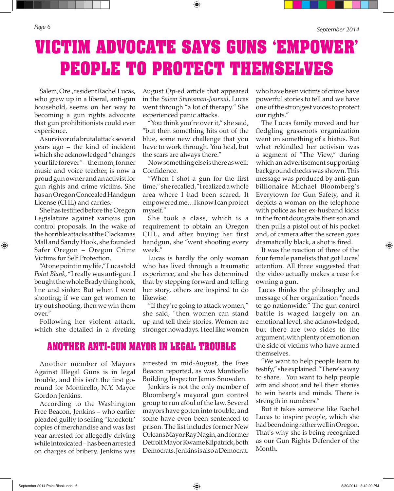⊕

## **VICTIM ADVOCATE SAYS GUNS 'EMPOWER' PEOPLE TO PROTECT THEMSELVES**

⊕

Salem, Ore., resident Rachel Lucas, who grew up in a liberal, anti-gun household, seems on her way to becoming a gun rights advocate that gun prohibitionists could ever experience.

A survivor of a brutal attack several years ago – the kind of incident which she acknowledged "changes your life forever" – the mom, former music and voice teacher, is now a proud gun owner and an activist for gun rights and crime victims. She has an Oregon Concealed Handgun License (CHL) and carries.

She has testified before the Oregon Legislature against various gun control proposals. In the wake of the horrible attacks at the Clackamas Mall and Sandy Hook, she founded Safer Oregon – Oregon Crime Victims for Self Protection.

"At one point in my life," Lucas told *Point Blank*, "I really was anti-gun. I bought the whole Brady thing hook, line and sinker. But when I went shooting; if we can get women to try out shooting, then we win them over."

Following her violent attack, which she detailed in a riveting

August Op-ed article that appeared in the S*alem Statesman-Journal*, Lucas went through "a lot of therapy." She experienced panic attacks.

"You think you're over it," she said, "but then something hits out of the blue, some new challenge that you have to work through. You heal, but the scars are always there."

Now something else is there as well: Confidence.

"When I shot a gun for the first time," she recalled, "I realized a whole area where I had been scared. It empowered me…I know I can protect myself."

She took a class, which is a requirement to obtain an Oregon CHL, and after buying her first handgun, she "went shooting every week."

Lucas is hardly the only woman who has lived through a traumatic experience, and she has determined that by stepping forward and telling her story, others are inspired to do likewise.

"If they're going to attack women," she said, "then women can stand up and tell their stories. Women are stronger nowadays. I feel like women

#### **ANOTHER ANTI-GUN MAYOR IN LEGAL TROUBLE**

Another member of Mayors Against Illegal Guns is in legal trouble, and this isn't the first goround for Monticello, N.Y. Mayor Gordon Jenkins.

According to the Washington Free Beacon, Jenkins – who earlier pleaded guilty to selling "knockoff' copies of merchandise and was last year arrested for allegedly driving while intoxicated – has been arrested on charges of bribery. Jenkins was

arrested in mid-August, the Free Beacon reported, as was Monticello Building Inspector James Snowden.

Jenkins is not the only member of Bloomberg's mayoral gun control group to run afoul of the law. Several mayors have gotten into trouble, and some have even been sentenced to prison. The list includes former New Orleans Mayor Ray Nagin, and former Detroit Mayor Kwame Kilpatrick, both Democrats. Jenkins is also a Democrat. who have been victims of crime have powerful stories to tell and we have one of the strongest voices to protect our rights."

The Lucas family moved and her fledgling grassroots organization went on something of a hiatus. But what rekindled her activism was a segment of "The View," during which an advertisement supporting background checks was shown. This message was produced by anti-gun billionaire Michael Bloomberg's Everytown for Gun Safety, and it depicts a woman on the telephone with police as her ex-husband kicks in the front door, grabs their son and then pulls a pistol out of his pocket and, of camera after the screen goes dramatically black, a shot is fired.

It was the reaction of three of the four female panelists that got Lucas' attention. All three suggested that the video actually makes a case for owning a gun.

 Lucas thinks the philosophy and message of her organization "needs to go nationwide." The gun control battle is waged largely on an emotional level, she acknowledged, but there are two sides to the argument, with plenty of emotion on the side of victims who have armed themselves.

"We want to help people learn to testify," she explained. "There's a way to share…You want to help people aim and shoot and tell their stories to win hearts and minds. There is strength in numbers."

But it takes someone like Rachel Lucas to inspire people, which she had been doing rather well in Oregon. That's why she is being recognized as our Gun Rights Defender of the Month.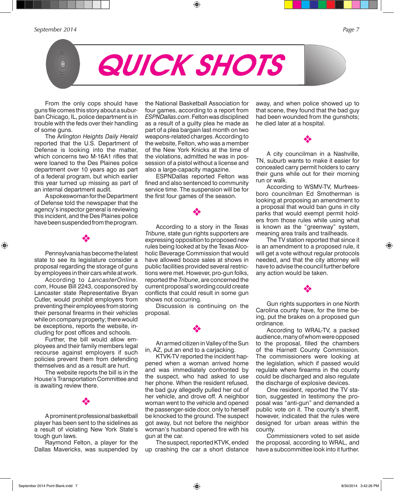*September 2014 Page 7*

From the only cops should have guns file comes this story about a suburban Chicago, IL, police department is in trouble with the feds over their handling of some guns.

The A*rlington Heights Daily Herald* reported that the U.S. Department of Defense is looking into the matter, which concerns two M-16A1 rifles that were loaned to the Des Plaines police department over 10 years ago as part of a federal program, but which earlier this year turned up missing as part of an internal department audit.

A spokeswoman for the Department of Defense told the newspaper that the agency's inspector general is reviewing this incident, and the Des Plaines police have been suspended from the program.

Pennsylvania has become the latest state to see its legislature consider a proposal regarding the storage of guns by employees in their cars while at work.

v

 $\textcircled{\scriptsize{+}}$ 

According to *LancasterOnline. com*, House Bill 2243, cosponsored by Lancaster state Representative Bryan Cutler, would prohibit employers from preventing their employees from storing their personal firearms in their vehicles while on company property; there would be exceptions, reports the website, including for post offices and schools.

Further, the bill would allow employees and their family members legal recourse against employers if such policies prevent them from defending themselves and as a result are hurt.

The website reports the bill is in the House's Transportation Committee and is awaiting review there.

v

A prominent professional basketball player has been sent to the sidelines as a result of violating New York State's tough gun laws.

Raymond Felton, a player for the Dallas Mavericks, was suspended by the National Basketball Association for four games, according to a report from *ESPNDallas.com*. Felton was disciplined as a result of a guilty plea he made as part of a plea bargain last month on two weapons-related charges. According to the website, Felton, who was a member of the New York Knicks at the time of the violations, admitted he was in possession of a pistol without a license and also a large-capacity magazine.

 $\textcolor{black}{\textcircled{\tiny \#}}$ 

QUICK SHOTS

ESPNDallas reported Felton was fined and also sentenced to community service time. The suspension will be for the first four games of the season.

v

According to a story in the *Texas Tribune,* state gun rights supporters are expressing opposition to proposed new rules being looked at by the Texas Alcoholic Beverage Commission that would have allowed booze sales at shows in public facilities provided several restrictions were met. However, pro-gun folks, reported the *Tribune*, are concerned the current proposal's wording could create conflicts that could result in some gun shows not occurring.

Discussion is continuing on the proposal.

An armed citizen in Valley of the Sun in, AZ, put an end to a carjacking.

v

KTVK-TV reported the incident happened when a woman arrived home and was immediately confronted by the suspect, who had asked to use her phone. When the resident refused, the bad guy allegedly pulled her out of her vehicle, and drove off. A neighbor woman went to the vehicle and opened the passenger-side door, only to herself be knocked to the ground. The suspect got away, but not before the neighbor woman's husband opened fire with his gun at the car.

The suspect, reported KTVK, ended up crashing the car a short distance

away, and when police showed up to that scene, they found that the bad guy had been wounded from the gunshots; he died later at a hospital.

v

A city councilman in a Nashville, TN, suburb wants to make it easier for concealed carry permit holders to carry their guns while out for their morning run or walk.

According to WSMV-TV, Murfreesboro councilman Ed Smotherman is looking at proposing an amendment to a proposal that would ban guns in city parks that would exempt permit holders from those rules while using what is known as the "greenway" system, meaning area trails and trailheads.

The TV station reported that since it is an amendment to a proposed rule, it will get a vote without regular protocols needed, and that the city attorney will have to advise the council further before any action would be taken.

Gun rights supporters in one North Carolina county have, for the time being, put the brakes on a proposed gun ordinance.

v

According to WRAL-TV, a packed audience, many of whom were opposed to the proposal, filled the chambers of the Harnett County Commission. The commissioners were looking at the legislation, which if passed would regulate where firearms in the county could be discharged and also regulate the discharge of explosive devices.

One resident, reported the TV station, suggested in testimony the proposal was "anti-gun" and demanded a public vote on it. The county's sheriff, however, indicated that the rules were designed for urban areas within the county.

Commissioners voted to set aside the proposal, according to WRAL, and have a subcommittee look into it further.